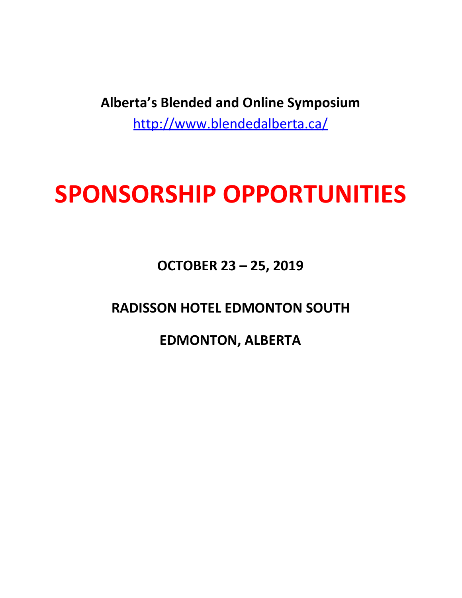**Alberta's Blended and Online Symposium** <http://www.blendedalberta.ca/>

# **SPONSORSHIP OPPORTUNITIES**

**OCTOBER 23 – 25, 2019**

**RADISSON HOTEL EDMONTON SOUTH**

**EDMONTON, ALBERTA**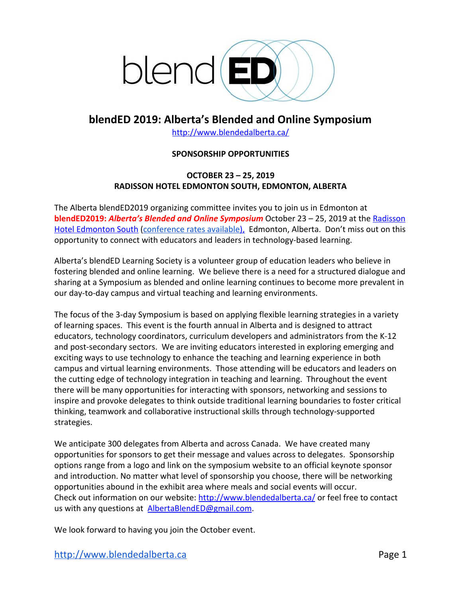

## **blendED 2019: Alberta's Blended and Online Symposium**

<http://www.blendedalberta.ca/>

### **SPONSORSHIP OPPORTUNITIES**

### **OCTOBER 23 – 25, 2019 RADISSON HOTEL EDMONTON SOUTH, EDMONTON, ALBERTA**

The Alberta blendED2019 organizing committee invites you to join us in Edmonton at **blendED2019:** *Alberta's Blended and Online Symposium* October 23 – 25, 2019 at the [Radisson](http://hotels.radisson.com/ab/edmonton/hotels_edmonton_ab_abedmsou.html) [Hotel Edmonton South](http://hotels.radisson.com/ab/edmonton/hotels_edmonton_ab_abedmsou.html) ([conference rates available\)](http://www.radisson.com/reservation/itineraryEntrance.do?hotelCode=ABEDMSOU&promotionalCode=BLEND&startDate=20171024&numberNights=1), Edmonton, Alberta. Don't miss out on this opportunity to connect with educators and leaders in technology-based learning.

Alberta's blendED Learning Society is a volunteer group of education leaders who believe in fostering blended and online learning. We believe there is a need for a structured dialogue and sharing at a Symposium as blended and online learning continues to become more prevalent in our day-to-day campus and virtual teaching and learning environments.

The focus of the 3-day Symposium is based on applying flexible learning strategies in a variety of learning spaces. This event is the fourth annual in Alberta and is designed to attract educators, technology coordinators, curriculum developers and administrators from the K-12 and post-secondary sectors. We are inviting educators interested in exploring emerging and exciting ways to use technology to enhance the teaching and learning experience in both campus and virtual learning environments. Those attending will be educators and leaders on the cutting edge of technology integration in teaching and learning. Throughout the event there will be many opportunities for interacting with sponsors, networking and sessions to inspire and provoke delegates to think outside traditional learning boundaries to foster critical thinking, teamwork and collaborative instructional skills through technology-supported strategies.

We anticipate 300 delegates from Alberta and across Canada. We have created many opportunities for sponsors to get their message and values across to delegates. Sponsorship options range from a logo and link on the symposium website to an official keynote sponsor and introduction. No matter what level of sponsorship you choose, there will be networking opportunities abound in the exhibit area where meals and social events will occur. Check out information on our website: <http://www.blendedalberta.ca/> or feel free to contact us with any questions at AlbertaBlendED@gmail.com.

We look forward to having you join the October event.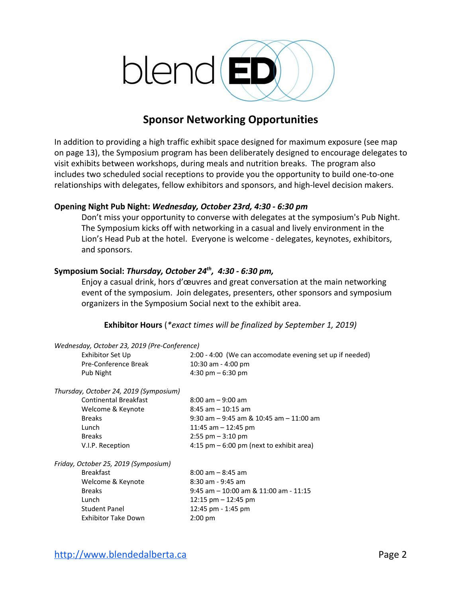

# **Sponsor Networking Opportunities**

In addition to providing a high traffic exhibit space designed for maximum exposure (see map on page 13), the Symposium program has been deliberately designed to encourage delegates to visit exhibits between workshops, during meals and nutrition breaks. The program also includes two scheduled social receptions to provide you the opportunity to build one-to-one relationships with delegates, fellow exhibitors and sponsors, and high-level decision makers.

### **Opening Night Pub Night:** *Wednesday, October 23rd, 4:30 - 6:30 pm*

Don't miss your opportunity to converse with delegates at the symposium's Pub Night. The Symposium kicks off with networking in a casual and lively environment in the Lion's Head Pub at the hotel. Everyone is welcome - delegates, keynotes, exhibitors, and sponsors.

### **Symposium Social:** *Thursday, October 24th , 4:30 - 6:30 pm,*

Enjoy a casual drink, hors d'œuvres and great conversation at the main networking event of the symposium. Join delegates, presenters, other sponsors and symposium organizers in the Symposium Social next to the exhibit area.

### **Exhibitor Hours** (*\*exact times will be finalized by September 1, 2019)*

| Wednesday, October 23, 2019 (Pre-Conference) |                                                          |  |  |  |
|----------------------------------------------|----------------------------------------------------------|--|--|--|
| Exhibitor Set Up                             | 2:00 - 4:00 (We can accomodate evening set up if needed) |  |  |  |
| Pre-Conference Break                         | $10:30$ am - 4:00 pm                                     |  |  |  |
| Pub Night                                    | 4:30 pm $-6:30$ pm                                       |  |  |  |
| Thursday, October 24, 2019 (Symposium)       |                                                          |  |  |  |
| Continental Breakfast                        | $8:00$ am $-9:00$ am                                     |  |  |  |
| Welcome & Keynote                            | $8:45$ am $-10:15$ am                                    |  |  |  |
| <b>Breaks</b>                                | $9:30$ am $-9:45$ am & 10:45 am $-11:00$ am              |  |  |  |
| Lunch                                        | 11:45 am $-$ 12:45 pm                                    |  |  |  |
| <b>Breaks</b>                                | $2:55$ pm $-3:10$ pm                                     |  |  |  |
| V.I.P. Reception                             | 4:15 pm $-6:00$ pm (next to exhibit area)                |  |  |  |
| Friday, October 25, 2019 (Symposium)         |                                                          |  |  |  |
| <b>Breakfast</b>                             | $8:00$ am $-8:45$ am                                     |  |  |  |
| Welcome & Keynote                            | $8:30$ am - 9:45 am                                      |  |  |  |
| <b>Breaks</b>                                | $9:45$ am $-10:00$ am & 11:00 am - 11:15                 |  |  |  |
| Lunch                                        | 12:15 $pm - 12:45$ pm                                    |  |  |  |
| <b>Student Panel</b>                         | 12:45 pm - 1:45 pm                                       |  |  |  |
| Exhibitor Take Down                          | $2:00$ pm                                                |  |  |  |
|                                              |                                                          |  |  |  |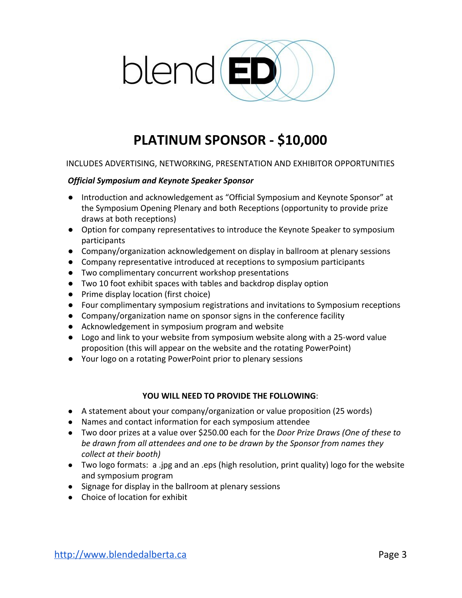

# **PLATINUM SPONSOR - \$10,000**

### INCLUDES ADVERTISING, NETWORKING, PRESENTATION AND EXHIBITOR OPPORTUNITIES

### *Official Symposium and Keynote Speaker Sponsor*

- Introduction and acknowledgement as "Official Symposium and Keynote Sponsor" at the Symposium Opening Plenary and both Receptions (opportunity to provide prize draws at both receptions)
- Option for company representatives to introduce the Keynote Speaker to symposium participants
- Company/organization acknowledgement on display in ballroom at plenary sessions
- Company representative introduced at receptions to symposium participants
- Two complimentary concurrent workshop presentations
- Two 10 foot exhibit spaces with tables and backdrop display option
- Prime display location (first choice)
- Four complimentary symposium registrations and invitations to Symposium receptions
- Company/organization name on sponsor signs in the conference facility
- Acknowledgement in symposium program and website
- Logo and link to your website from symposium website along with a 25-word value proposition (this will appear on the website and the rotating PowerPoint)
- Your logo on a rotating PowerPoint prior to plenary sessions

### **YOU WILL NEED TO PROVIDE THE FOLLOWING**:

- A statement about your company/organization or value proposition (25 words)
- Names and contact information for each symposium attendee
- Two door prizes at a value over \$250.00 each for the *Door Prize Draws (One of these to be drawn from all attendees and one to be drawn by the Sponsor from names they collect at their booth)*
- Two logo formats: a .jpg and an .eps (high resolution, print quality) logo for the website and symposium program
- Signage for display in the ballroom at plenary sessions
- Choice of location for exhibit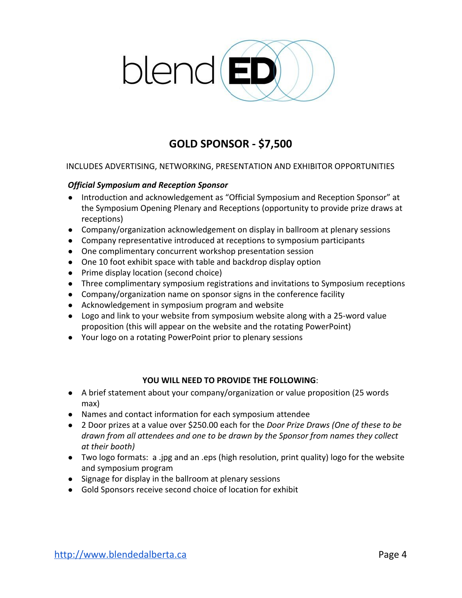

# **GOLD SPONSOR - \$7,500**

### INCLUDES ADVERTISING, NETWORKING, PRESENTATION AND EXHIBITOR OPPORTUNITIES

### *Official Symposium and Reception Sponsor*

- Introduction and acknowledgement as "Official Symposium and Reception Sponsor" at the Symposium Opening Plenary and Receptions (opportunity to provide prize draws at receptions)
- Company/organization acknowledgement on display in ballroom at plenary sessions
- Company representative introduced at receptions to symposium participants
- One complimentary concurrent workshop presentation session
- One 10 foot exhibit space with table and backdrop display option
- Prime display location (second choice)
- Three complimentary symposium registrations and invitations to Symposium receptions
- Company/organization name on sponsor signs in the conference facility
- Acknowledgement in symposium program and website
- Logo and link to your website from symposium website along with a 25-word value proposition (this will appear on the website and the rotating PowerPoint)
- Your logo on a rotating PowerPoint prior to plenary sessions

### **YOU WILL NEED TO PROVIDE THE FOLLOWING**:

- A brief statement about your company/organization or value proposition (25 words max)
- Names and contact information for each symposium attendee
- 2 Door prizes at a value over \$250.00 each for the *Door Prize Draws (One of these to be drawn from all attendees and one to be drawn by the Sponsor from names they collect at their booth)*
- Two logo formats: a .jpg and an .eps (high resolution, print quality) logo for the website and symposium program
- Signage for display in the ballroom at plenary sessions
- Gold Sponsors receive second choice of location for exhibit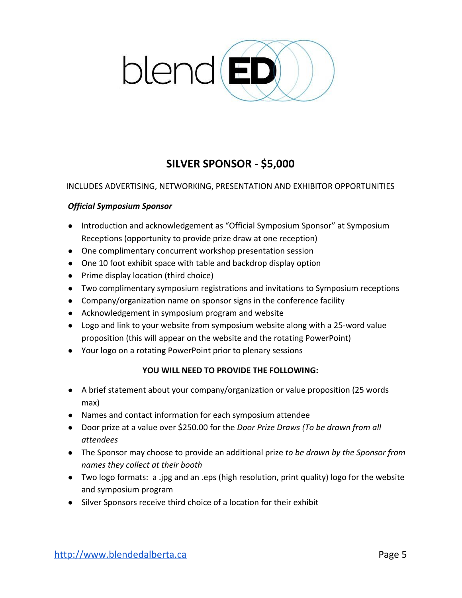

# **SILVER SPONSOR - \$5,000**

### INCLUDES ADVERTISING, NETWORKING, PRESENTATION AND EXHIBITOR OPPORTUNITIES

### *Official Symposium Sponsor*

- Introduction and acknowledgement as "Official Symposium Sponsor" at Symposium Receptions (opportunity to provide prize draw at one reception)
- One complimentary concurrent workshop presentation session
- One 10 foot exhibit space with table and backdrop display option
- Prime display location (third choice)
- Two complimentary symposium registrations and invitations to Symposium receptions
- Company/organization name on sponsor signs in the conference facility
- Acknowledgement in symposium program and website
- Logo and link to your website from symposium website along with a 25-word value proposition (this will appear on the website and the rotating PowerPoint)
- Your logo on a rotating PowerPoint prior to plenary sessions

### **YOU WILL NEED TO PROVIDE THE FOLLOWING:**

- A brief statement about your company/organization or value proposition (25 words max)
- Names and contact information for each symposium attendee
- Door prize at a value over \$250.00 for the *Door Prize Draws (To be drawn from all attendees*
- The Sponsor may choose to provide an additional prize *to be drawn by the Sponsor from names they collect at their booth*
- Two logo formats: a .jpg and an .eps (high resolution, print quality) logo for the website and symposium program
- Silver Sponsors receive third choice of a location for their exhibit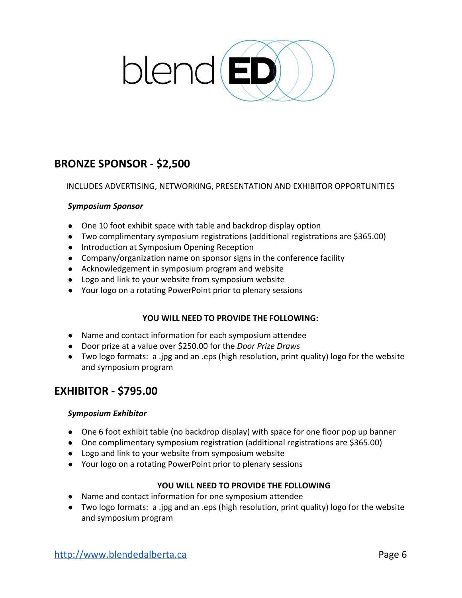

# **BRONZE SPONSOR - \$2,500**

INCLUDES ADVERTISING, NETWORKING, PRESENTATION AND EXHIBITOR OPPORTUNITIES

### *Symposium Sponsor*

- One 10 foot exhibit space with table and backdrop display option
- Two complimentary symposium registrations (additional registrations are \$365.00)
- Introduction at Symposium Opening Reception
- Company/organization name on sponsor signs in the conference facility
- Acknowledgement in symposium program and website
- Logo and link to your website from symposium website
- Your logo on a rotating PowerPoint prior to plenary sessions

### **YOU WILL NEED TO PROVIDE THE FOLLOWING:**

- Name and contact information for each symposium attendee
- Door prize at a value over \$250.00 for the *Door Prize Draws*
- Two logo formats: a .jpg and an .eps (high resolution, print quality) logo for the website and symposium program

### **EXHIBITOR - \$795.00**

### *Symposium Exhibitor*

- One 6 foot exhibit table (no backdrop display) with space for one floor pop up banner
- One complimentary symposium registration (additional registrations are \$365.00)
- Logo and link to your website from symposium website
- Your logo on a rotating PowerPoint prior to plenary sessions

### **YOU WILL NEED TO PROVIDE THE FOLLOWING**

- Name and contact information for one symposium attendee
- Two logo formats: a .jpg and an .eps (high resolution, print quality) logo for the website and symposium program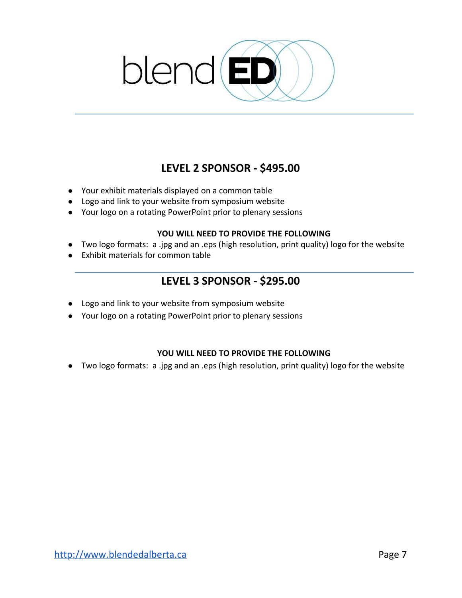

# **LEVEL 2 SPONSOR - \$495.00**

- Your exhibit materials displayed on a common table
- Logo and link to your website from symposium website
- Your logo on a rotating PowerPoint prior to plenary sessions

### **YOU WILL NEED TO PROVIDE THE FOLLOWING**

- Two logo formats: a .jpg and an .eps (high resolution, print quality) logo for the website
- Exhibit materials for common table

# **LEVEL 3 SPONSOR - \$295.00**

- Logo and link to your website from symposium website
- Your logo on a rotating PowerPoint prior to plenary sessions

### **YOU WILL NEED TO PROVIDE THE FOLLOWING**

● Two logo formats: a .jpg and an .eps (high resolution, print quality) logo for the website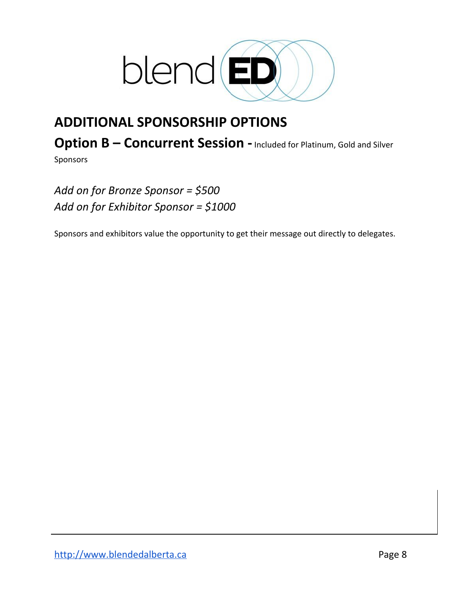

# **ADDITIONAL SPONSORSHIP OPTIONS**

**Option B – Concurrent Session -** Included for Platinum, Gold and Silver

Sponsors

*Add on for Bronze Sponsor = \$500 Add on for Exhibitor Sponsor = \$1000*

Sponsors and exhibitors value the opportunity to get their message out directly to delegates.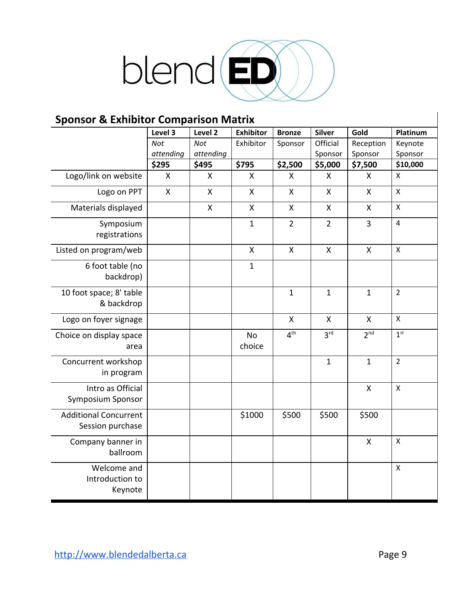

# **Sponsor & Exhibitor Comparison Matrix**

|                                                  | Level 3          | Level 2      | <b>Exhibitor</b>    | <b>Bronze</b>      | <b>Silver</b>      | Gold               | Platinum                  |
|--------------------------------------------------|------------------|--------------|---------------------|--------------------|--------------------|--------------------|---------------------------|
|                                                  | <b>Not</b>       | <b>Not</b>   | Exhibitor           | Sponsor            | Official           | Reception          | Keynote                   |
|                                                  | attending        | attending    |                     |                    | Sponsor            | Sponsor            | Sponsor                   |
|                                                  | \$295            | \$495        | \$795               | \$2,500            | \$5,000            | \$7,500            | \$10,000                  |
| Logo/link on website                             | X                | X            | X                   | X                  | X                  | Χ                  | $\mathsf{X}$              |
| Logo on PPT                                      | $\boldsymbol{X}$ | $\mathsf{X}$ | $\mathsf{X}$        | $\pmb{\mathsf{X}}$ | $\pmb{\mathsf{X}}$ | $\mathsf{X}$       | $\boldsymbol{\mathsf{X}}$ |
| Materials displayed                              |                  | X            | X                   | X                  | X                  | X                  | $\boldsymbol{\mathsf{X}}$ |
| Symposium<br>registrations                       |                  |              | $\mathbf{1}$        | $\overline{2}$     | $\overline{2}$     | 3                  | $\overline{4}$            |
| Listed on program/web                            |                  |              | $\mathsf{X}$        | $\mathsf{X}$       | $\mathsf{X}$       | $\mathsf{X}$       | $\pmb{\times}$            |
| 6 foot table (no<br>backdrop)                    |                  |              | $\mathbf{1}$        |                    |                    |                    |                           |
| 10 foot space; 8' table<br>& backdrop            |                  |              |                     | $\mathbf{1}$       | $\mathbf{1}$       | $\mathbf{1}$       | $\overline{2}$            |
| Logo on foyer signage                            |                  |              |                     | $\pmb{\mathsf{X}}$ | $\pmb{\mathsf{X}}$ | $\pmb{\mathsf{X}}$ | $\boldsymbol{\mathsf{X}}$ |
| Choice on display space<br>area                  |                  |              | <b>No</b><br>choice | 4 <sup>th</sup>    | 3 <sup>rd</sup>    | 2 <sup>nd</sup>    | 1 <sup>st</sup>           |
| Concurrent workshop<br>in program                |                  |              |                     |                    | $\mathbf{1}$       | $\mathbf{1}$       | $\overline{2}$            |
| Intro as Official<br><b>Symposium Sponsor</b>    |                  |              |                     |                    |                    | Χ                  | $\mathsf{\chi}$           |
| <b>Additional Concurrent</b><br>Session purchase |                  |              | \$1000              | \$500              | \$500              | \$500              |                           |
| Company banner in<br>ballroom                    |                  |              |                     |                    |                    | $\mathsf{X}$       | $\boldsymbol{\mathsf{X}}$ |
| Welcome and<br>Introduction to<br>Keynote        |                  |              |                     |                    |                    |                    | $\mathsf{x}$              |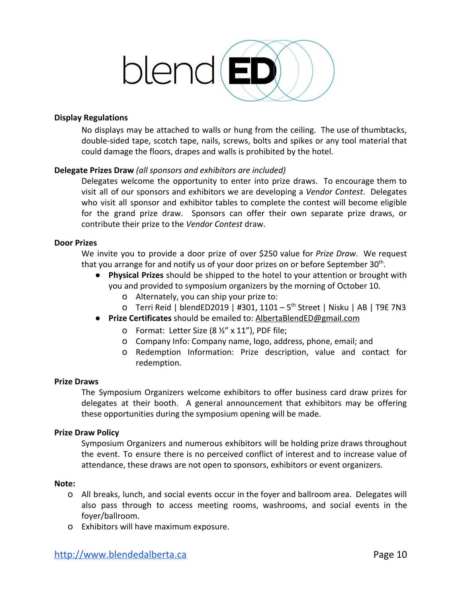

### **Display Regulations**

No displays may be attached to walls or hung from the ceiling. The use of thumbtacks, double-sided tape, scotch tape, nails, screws, bolts and spikes or any tool material that could damage the floors, drapes and walls is prohibited by the hotel.

### **Delegate Prizes Draw** *(all sponsors and exhibitors are included)*

Delegates welcome the opportunity to enter into prize draws. To encourage them to visit all of our sponsors and exhibitors we are developing a *Vendor Contest*. Delegates who visit all sponsor and exhibitor tables to complete the contest will become eligible for the grand prize draw. Sponsors can offer their own separate prize draws, or contribute their prize to the *Vendor Contest* draw.

### **Door Prizes**

We invite you to provide a door prize of over \$250 value for *Prize Draw*. We request that you arrange for and notify us of your door prizes on or before September 30<sup>th</sup>.

- **Physical Prizes** should be shipped to the hotel to your attention or brought with you and provided to symposium organizers by the morning of October 10.
	- o Alternately, you can ship your prize to:
	- 0 Terri Reid | blendED2019 | #301, 1101 5<sup>th</sup> Street | Nisku | AB | T9E 7N3
- **Prize Certificates** should be emailed to: [AlbertaBlendED@gmail.com](mailto:AlbertaBlendED@gmail.com)
	- o Format: Letter Size (8 ½" x 11"), PDF file;
	- o Company Info: Company name, logo, address, phone, email; and
	- o Redemption Information: Prize description, value and contact for redemption.

### **Prize Draws**

The Symposium Organizers welcome exhibitors to offer business card draw prizes for delegates at their booth. A general announcement that exhibitors may be offering these opportunities during the symposium opening will be made.

### **Prize Draw Policy**

Symposium Organizers and numerous exhibitors will be holding prize draws throughout the event. To ensure there is no perceived conflict of interest and to increase value of attendance, these draws are not open to sponsors, exhibitors or event organizers.

### **Note:**

- o All breaks, lunch, and social events occur in the foyer and ballroom area. Delegates will also pass through to access meeting rooms, washrooms, and social events in the foyer/ballroom.
- o Exhibitors will have maximum exposure.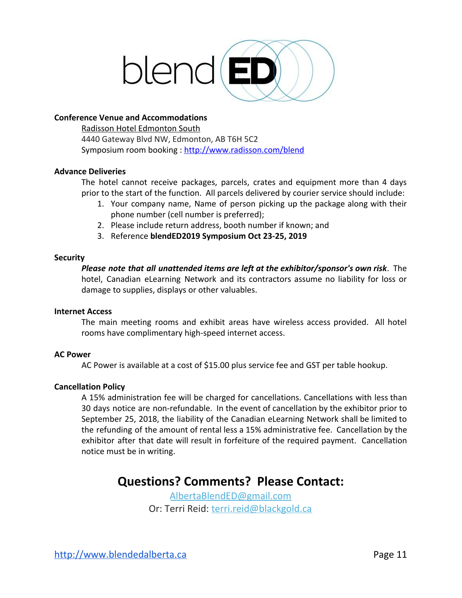

### **Conference Venue and Accommodations**

[Radisson Hotel Edmonton South](https://www.google.ca/maps/dir/%27%27/radisson+hotel+edmonton+south/@53.4825137,-113.5642464,12z/data=!3m1!4b1!4m8!4m7!1m0!1m5!1m1!1s0x53a01f34437692b5:0xac0b73aec56c4e8b!2m2!1d-113.4942069!2d53.4825342) 4440 Gateway Blvd NW, Edmonton, AB T6H 5C2 Symposium room booking : <http://www.radisson.com/blend>

### **Advance Deliveries**

The hotel cannot receive packages, parcels, crates and equipment more than 4 days prior to the start of the function. All parcels delivered by courier service should include:

- 1. Your company name, Name of person picking up the package along with their phone number (cell number is preferred);
- 2. Please include return address, booth number if known; and
- 3. Reference **blendED2019 Symposium Oct 23-25, 2019**

### **Security**

*Please note that all unattended items are left at the exhibitor/sponsor's own risk*. The hotel, Canadian eLearning Network and its contractors assume no liability for loss or damage to supplies, displays or other valuables.

### **Internet Access**

The main meeting rooms and exhibit areas have wireless access provided. All hotel rooms have complimentary high-speed internet access.

### **AC Power**

AC Power is available at a cost of \$15.00 plus service fee and GST per table hookup.

### **Cancellation Policy**

A 15% administration fee will be charged for cancellations. Cancellations with less than 30 days notice are non-refundable. In the event of cancellation by the exhibitor prior to September 25, 2018, the liability of the Canadian eLearning Network shall be limited to the refunding of the amount of rental less a 15% administrative fee. Cancellation by the exhibitor after that date will result in forfeiture of the required payment. Cancellation notice must be in writing.

# **Questions? Comments? Please Contact:**

[AlbertaBlendED@gmail.com](mailto:albertablended@gmail.com) Or: Terri Reid: [terri.reid@blackgold.ca](mailto:terri.reid@gshare.blackgold.ca)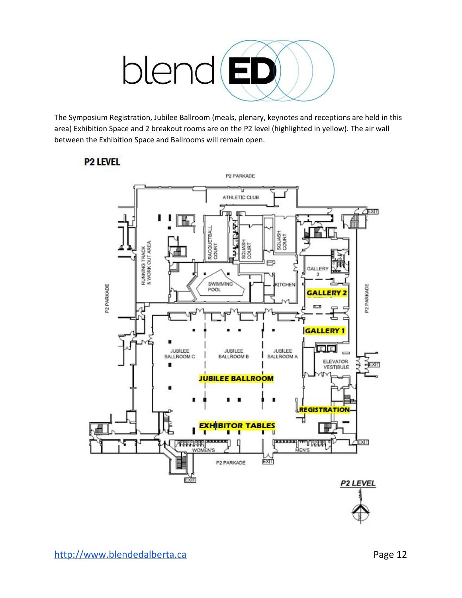

The Symposium Registration, Jubilee Ballroom (meals, plenary, keynotes and receptions are held in this area) Exhibition Space and 2 breakout rooms are on the P2 level (highlighted in yellow). The air wall between the Exhibition Space and Ballrooms will remain open.

### **P2 LEVEL**

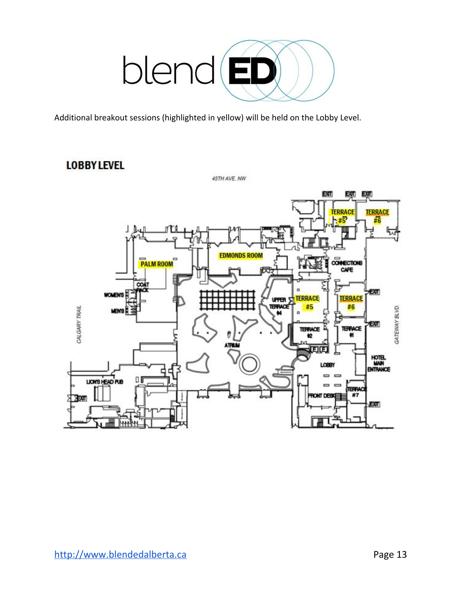

Additional breakout sessions (highlighted in yellow) will be held on the Lobby Level.

# **LOBBY LEVEL**

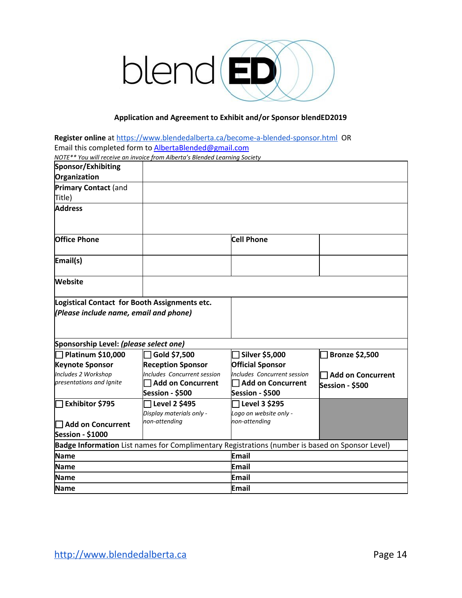

### **Application and Agreement to Exhibit and/or Sponsor blendED2019**

**Register online** at <https://www.blendedalberta.ca/become-a-blended-sponsor.html> OR Email this completed form to **[AlbertaBlended@gmail.com](mailto:AlbertaBlended@gmail.com)** 

|                                        | NOTE** You will receive an invoice from Alberta's Blended Learning Society                      |                                         |                       |  |  |  |
|----------------------------------------|-------------------------------------------------------------------------------------------------|-----------------------------------------|-----------------------|--|--|--|
| Sponsor/Exhibiting                     |                                                                                                 |                                         |                       |  |  |  |
| Organization                           |                                                                                                 |                                         |                       |  |  |  |
| <b>Primary Contact (and</b>            |                                                                                                 |                                         |                       |  |  |  |
| Title)                                 |                                                                                                 |                                         |                       |  |  |  |
| <b>Address</b>                         |                                                                                                 |                                         |                       |  |  |  |
| <b>Office Phone</b>                    |                                                                                                 | <b>Cell Phone</b>                       |                       |  |  |  |
| Email(s)                               |                                                                                                 |                                         |                       |  |  |  |
| <b>Website</b>                         |                                                                                                 |                                         |                       |  |  |  |
| (Please include name, email and phone) |                                                                                                 |                                         |                       |  |  |  |
| Sponsorship Level: (please select one) |                                                                                                 |                                         |                       |  |  |  |
| <b>] Platinum \$10,000</b>             | Gold \$7,500                                                                                    | Silver \$5,000 [                        | <b>Bronze \$2,500</b> |  |  |  |
| <b>Keynote Sponsor</b>                 | <b>Reception Sponsor</b>                                                                        | <b>Official Sponsor</b>                 |                       |  |  |  |
| Includes 2 Workshop                    | <b>Includes Concurrent session</b>                                                              | Includes Concurrent session             | Add on Concurrent     |  |  |  |
| presentations and Ignite               | <b>Add on Concurrent</b>                                                                        | <b>Add on Concurrent</b>                | Session - \$500       |  |  |  |
|                                        | Session - \$500                                                                                 | Session - \$500                         |                       |  |  |  |
| Exhibitor \$795                        | Level 2 \$495                                                                                   | Level 3 \$295                           |                       |  |  |  |
|                                        | Display materials only -<br>non-attending                                                       | Logo on website only -<br>non-attending |                       |  |  |  |
| <b>□ Add on Concurrent</b>             |                                                                                                 |                                         |                       |  |  |  |
| Session - \$1000                       |                                                                                                 |                                         |                       |  |  |  |
|                                        | Badge Information List names for Complimentary Registrations (number is based on Sponsor Level) |                                         |                       |  |  |  |
| <b>Name</b>                            |                                                                                                 | <b>Email</b>                            |                       |  |  |  |
| <b>Name</b>                            |                                                                                                 | Email                                   |                       |  |  |  |
| <b>Name</b>                            |                                                                                                 | Email                                   |                       |  |  |  |
| <b>Name</b>                            |                                                                                                 | Email                                   |                       |  |  |  |